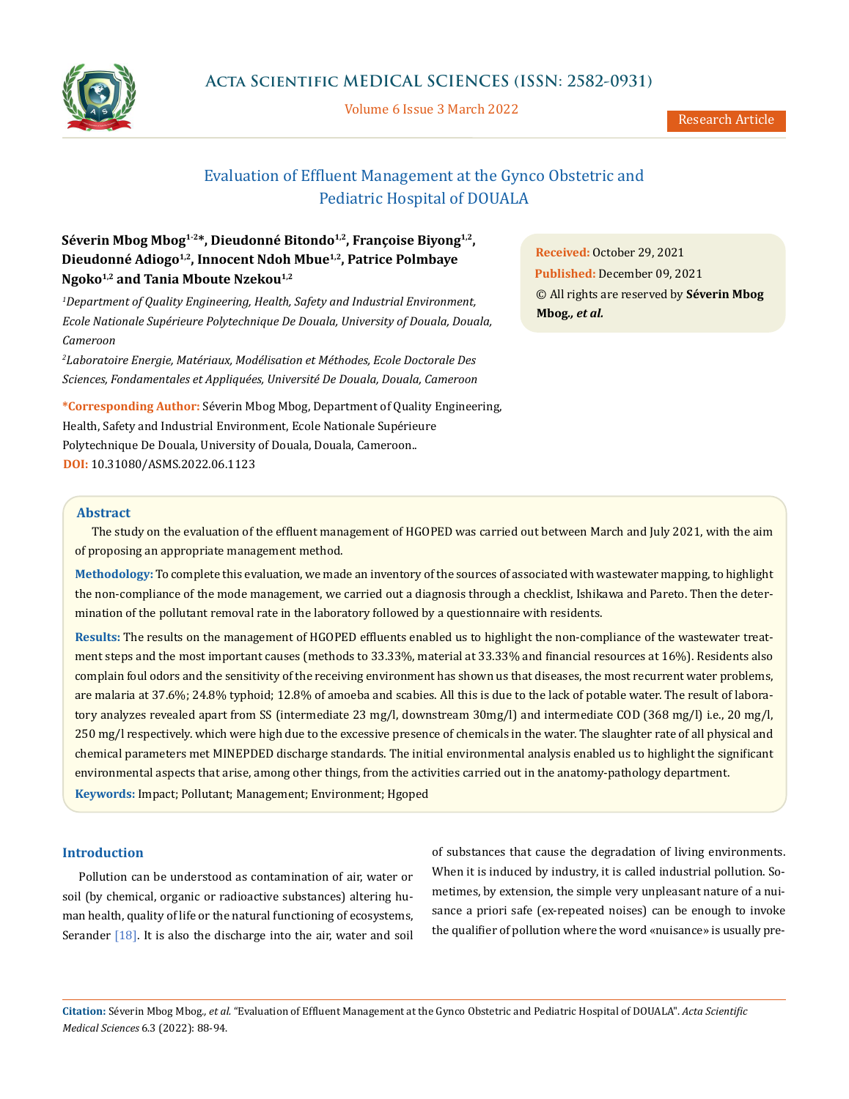

Volume 6 Issue 3 March 2022

Research Article

# Evaluation of Effluent Management at the Gynco Obstetric and Pediatric Hospital of DOUALA

## Séverin Mbog Mbog<sup>1-2\*</sup>, Dieudonné Bitondo<sup>1,2</sup>, Françoise Biyong<sup>1,2</sup>, **Dieudonné Adiogo1,2, Innocent Ndoh Mbue1,2, Patrice Polmbaye Ngoko1,2 and Tania Mboute Nzekou1,2**

*1 Department of Quality Engineering, Health, Safety and Industrial Environment, Ecole Nationale Supérieure Polytechnique De Douala, University of Douala, Douala, Cameroon*

*2 Laboratoire Energie, Matériaux, Modélisation et Méthodes, Ecole Doctorale Des Sciences, Fondamentales et Appliquées, Université De Douala, Douala, Cameroon*

**\*Corresponding Author:** Séverin Mbog Mbog, Department of Quality Engineering, Health, Safety and Industrial Environment, Ecole Nationale Supérieure Polytechnique De Douala, University of Douala, Douala, Cameroon.. **DOI:** [10.31080/ASMS.2022.06.1123](https://actascientific.com/ASMS/pdf/ASMS-06-1123.pdf)

**Received:** October 29, 2021 **Published:** December 09, 2021 © All rights are reserved by **Séverin Mbog Mbog***., et al.* 

## **Abstract**

The study on the evaluation of the effluent management of HGOPED was carried out between March and July 2021, with the aim of proposing an appropriate management method.

**Methodology:** To complete this evaluation, we made an inventory of the sources of associated with wastewater mapping, to highlight the non-compliance of the mode management, we carried out a diagnosis through a checklist, Ishikawa and Pareto. Then the determination of the pollutant removal rate in the laboratory followed by a questionnaire with residents.

**Results:** The results on the management of HGOPED effluents enabled us to highlight the non-compliance of the wastewater treatment steps and the most important causes (methods to 33.33%, material at 33.33% and financial resources at 16%). Residents also complain foul odors and the sensitivity of the receiving environment has shown us that diseases, the most recurrent water problems, are malaria at 37.6%; 24.8% typhoid; 12.8% of amoeba and scabies. All this is due to the lack of potable water. The result of laboratory analyzes revealed apart from SS (intermediate 23 mg/l, downstream 30mg/l) and intermediate COD (368 mg/l) i.e., 20 mg/l, 250 mg/l respectively. which were high due to the excessive presence of chemicals in the water. The slaughter rate of all physical and chemical parameters met MINEPDED discharge standards. The initial environmental analysis enabled us to highlight the significant environmental aspects that arise, among other things, from the activities carried out in the anatomy-pathology department. **Keywords:** Impact; Pollutant; Management; Environment; Hgoped

## **Introduction**

Pollution can be understood as contamination of air, water or soil (by chemical, organic or radioactive substances) altering human health, quality of life or the natural functioning of ecosystems, Serander  $[18]$ . It is also the discharge into the air, water and soil of substances that cause the degradation of living environments. When it is induced by industry, it is called industrial pollution. Sometimes, by extension, the simple very unpleasant nature of a nuisance a priori safe (ex-repeated noises) can be enough to invoke the qualifier of pollution where the word «nuisance» is usually pre-

**Citation:** Séverin Mbog Mbog*., et al.* "Evaluation of Effluent Management at the Gynco Obstetric and Pediatric Hospital of DOUALA". *Acta Scientific Medical Sciences* 6.3 (2022): 88-94.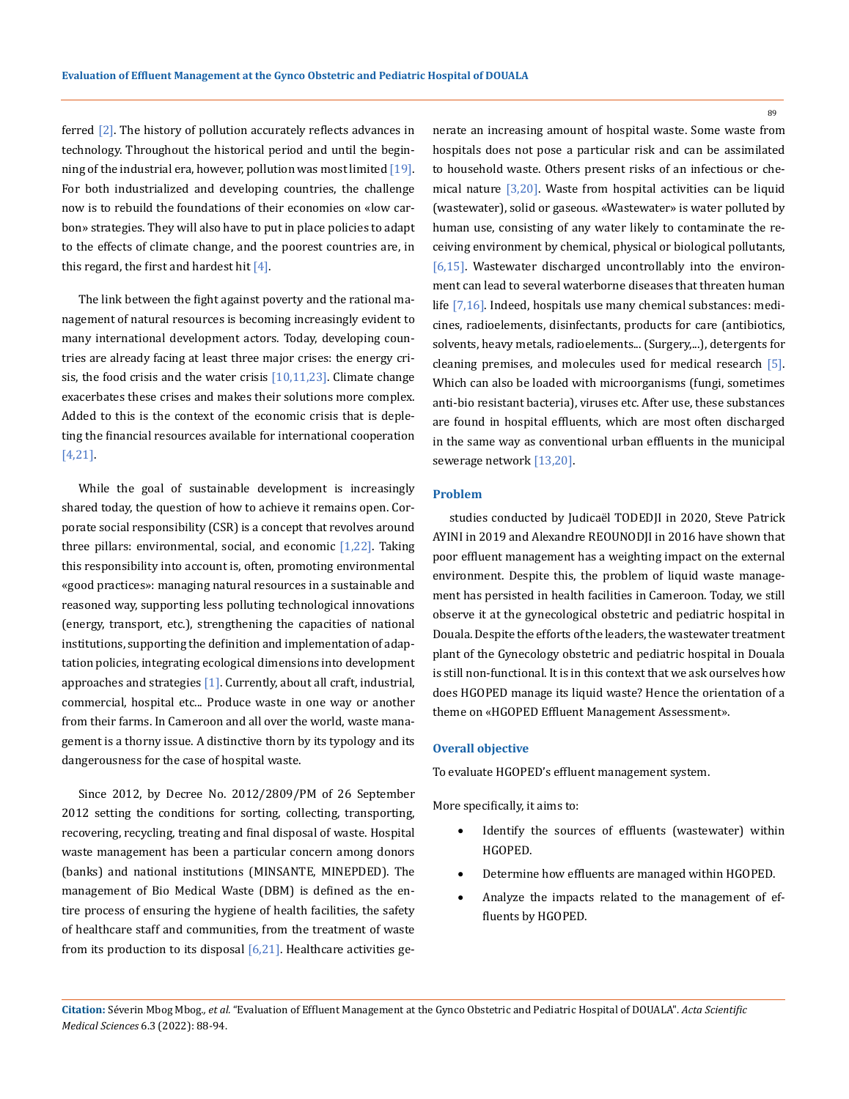ferred [2]. The history of pollution accurately reflects advances in technology. Throughout the historical period and until the beginning of the industrial era, however, pollution was most limited  $[19]$ . For both industrialized and developing countries, the challenge now is to rebuild the foundations of their economies on «low carbon» strategies. They will also have to put in place policies to adapt to the effects of climate change, and the poorest countries are, in this regard, the first and hardest hit  $[4]$ .

The link between the fight against poverty and the rational management of natural resources is becoming increasingly evident to many international development actors. Today, developing countries are already facing at least three major crises: the energy crisis, the food crisis and the water crisis  $[10,11,23]$ . Climate change exacerbates these crises and makes their solutions more complex. Added to this is the context of the economic crisis that is depleting the financial resources available for international cooperation [4,21].

While the goal of sustainable development is increasingly shared today, the question of how to achieve it remains open. Corporate social responsibility (CSR) is a concept that revolves around three pillars: environmental, social, and economic  $[1,22]$ . Taking this responsibility into account is, often, promoting environmental «good practices»: managing natural resources in a sustainable and reasoned way, supporting less polluting technological innovations (energy, transport, etc.), strengthening the capacities of national institutions, supporting the definition and implementation of adaptation policies, integrating ecological dimensions into development approaches and strategies  $[1]$ . Currently, about all craft, industrial, commercial, hospital etc... Produce waste in one way or another from their farms. In Cameroon and all over the world, waste management is a thorny issue. A distinctive thorn by its typology and its dangerousness for the case of hospital waste.

Since 2012, by Decree No. 2012/2809/PM of 26 September 2012 setting the conditions for sorting, collecting, transporting, recovering, recycling, treating and final disposal of waste. Hospital waste management has been a particular concern among donors (banks) and national institutions (MINSANTE, MINEPDED). The management of Bio Medical Waste (DBM) is defined as the entire process of ensuring the hygiene of health facilities, the safety of healthcare staff and communities, from the treatment of waste from its production to its disposal  $[6,21]$ . Healthcare activities generate an increasing amount of hospital waste. Some waste from hospitals does not pose a particular risk and can be assimilated to household waste. Others present risks of an infectious or chemical nature  $\left[3,20\right]$ . Waste from hospital activities can be liquid (wastewater), solid or gaseous. «Wastewater» is water polluted by human use, consisting of any water likely to contaminate the receiving environment by chemical, physical or biological pollutants, [6,15]. Wastewater discharged uncontrollably into the environment can lead to several waterborne diseases that threaten human life [7,16]. Indeed, hospitals use many chemical substances: medicines, radioelements, disinfectants, products for care (antibiotics, solvents, heavy metals, radioelements... (Surgery,...), detergents for cleaning premises, and molecules used for medical research [5]. Which can also be loaded with microorganisms (fungi, sometimes anti-bio resistant bacteria), viruses etc. After use, these substances are found in hospital effluents, which are most often discharged in the same way as conventional urban effluents in the municipal sewerage network [13,20].

## **Problem**

studies conducted by Judicaël TODEDJI in 2020, Steve Patrick AYINI in 2019 and Alexandre REOUNODJI in 2016 have shown that poor effluent management has a weighting impact on the external environment. Despite this, the problem of liquid waste management has persisted in health facilities in Cameroon. Today, we still observe it at the gynecological obstetric and pediatric hospital in Douala. Despite the efforts of the leaders, the wastewater treatment plant of the Gynecology obstetric and pediatric hospital in Douala is still non-functional. It is in this context that we ask ourselves how does HGOPED manage its liquid waste? Hence the orientation of a theme on «HGOPED Effluent Management Assessment».

## **Overall objective**

To evaluate HGOPED's effluent management system.

More specifically, it aims to:

- Identify the sources of effluents (wastewater) within HGOPED.
- Determine how effluents are managed within HGOPED.
- Analyze the impacts related to the management of effluents by HGOPED.

**Citation:** Séverin Mbog Mbog*., et al.* "Evaluation of Effluent Management at the Gynco Obstetric and Pediatric Hospital of DOUALA". *Acta Scientific Medical Sciences* 6.3 (2022): 88-94.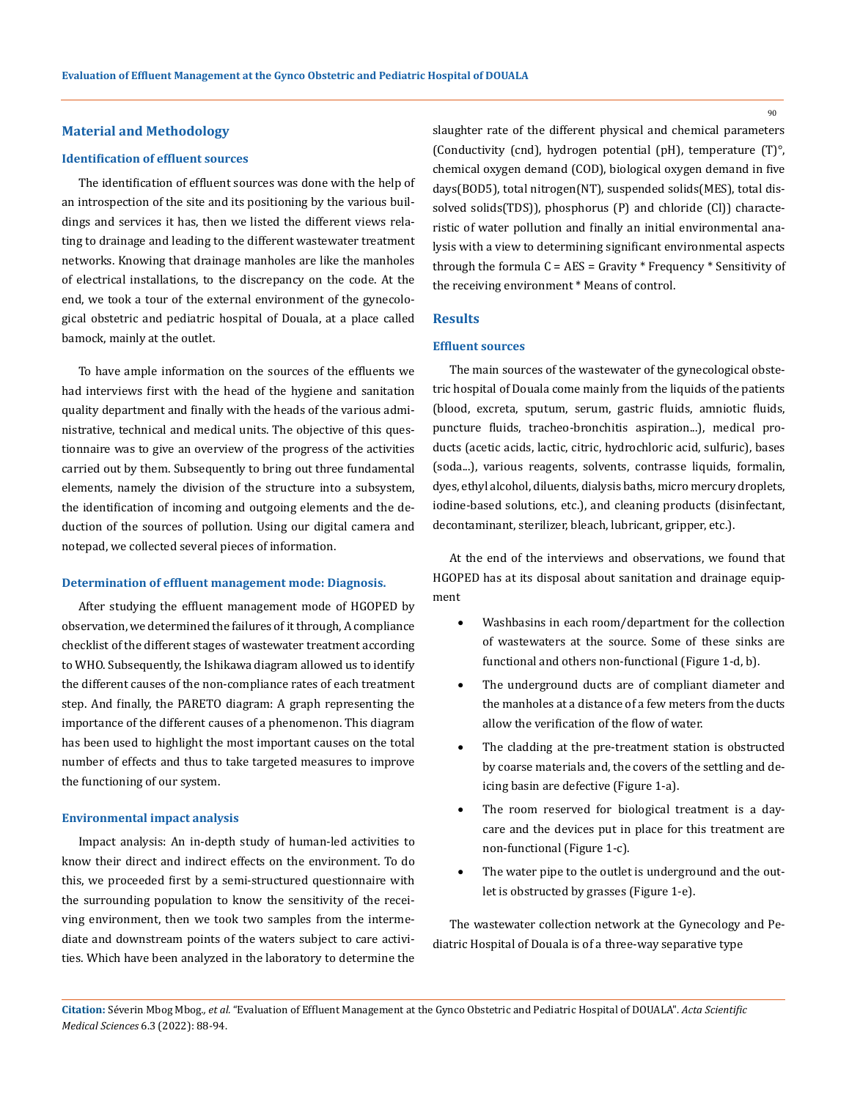#### 90

#### **Material and Methodology**

## **Identification of effluent sources**

The identification of effluent sources was done with the help of an introspection of the site and its positioning by the various buildings and services it has, then we listed the different views relating to drainage and leading to the different wastewater treatment networks. Knowing that drainage manholes are like the manholes of electrical installations, to the discrepancy on the code. At the end, we took a tour of the external environment of the gynecological obstetric and pediatric hospital of Douala, at a place called bamock, mainly at the outlet.

To have ample information on the sources of the effluents we had interviews first with the head of the hygiene and sanitation quality department and finally with the heads of the various administrative, technical and medical units. The objective of this questionnaire was to give an overview of the progress of the activities carried out by them. Subsequently to bring out three fundamental elements, namely the division of the structure into a subsystem, the identification of incoming and outgoing elements and the deduction of the sources of pollution. Using our digital camera and notepad, we collected several pieces of information.

## **Determination of effluent management mode: Diagnosis.**

After studying the effluent management mode of HGOPED by observation, we determined the failures of it through, A compliance checklist of the different stages of wastewater treatment according to WHO. Subsequently, the Ishikawa diagram allowed us to identify the different causes of the non-compliance rates of each treatment step. And finally, the PARETO diagram: A graph representing the importance of the different causes of a phenomenon. This diagram has been used to highlight the most important causes on the total number of effects and thus to take targeted measures to improve the functioning of our system.

#### **Environmental impact analysis**

Impact analysis: An in-depth study of human-led activities to know their direct and indirect effects on the environment. To do this, we proceeded first by a semi-structured questionnaire with the surrounding population to know the sensitivity of the receiving environment, then we took two samples from the intermediate and downstream points of the waters subject to care activities. Which have been analyzed in the laboratory to determine the slaughter rate of the different physical and chemical parameters (Conductivity (cnd), hydrogen potential (pH), temperature (T)°, chemical oxygen demand (COD), biological oxygen demand in five days(BOD5), total nitrogen(NT), suspended solids(MES), total dissolved solids(TDS)), phosphorus (P) and chloride (Cl)) characteristic of water pollution and finally an initial environmental analysis with a view to determining significant environmental aspects through the formula  $C = AES = Gravity * Frequency * Sensitivity$ the receiving environment \* Means of control.

## **Results**

#### **Effluent sources**

The main sources of the wastewater of the gynecological obstetric hospital of Douala come mainly from the liquids of the patients (blood, excreta, sputum, serum, gastric fluids, amniotic fluids, puncture fluids, tracheo-bronchitis aspiration...), medical products (acetic acids, lactic, citric, hydrochloric acid, sulfuric), bases (soda...), various reagents, solvents, contrasse liquids, formalin, dyes, ethyl alcohol, diluents, dialysis baths, micro mercury droplets, iodine-based solutions, etc.), and cleaning products (disinfectant, decontaminant, sterilizer, bleach, lubricant, gripper, etc.).

At the end of the interviews and observations, we found that HGOPED has at its disposal about sanitation and drainage equipment

- Washbasins in each room/department for the collection of wastewaters at the source. Some of these sinks are functional and others non-functional (Figure 1-d, b).
- The underground ducts are of compliant diameter and the manholes at a distance of a few meters from the ducts allow the verification of the flow of water.
- The cladding at the pre-treatment station is obstructed by coarse materials and, the covers of the settling and deicing basin are defective (Figure 1-a).
- The room reserved for biological treatment is a daycare and the devices put in place for this treatment are non-functional (Figure 1-c).
- The water pipe to the outlet is underground and the outlet is obstructed by grasses (Figure 1-e).

The wastewater collection network at the Gynecology and Pediatric Hospital of Douala is of a three-way separative type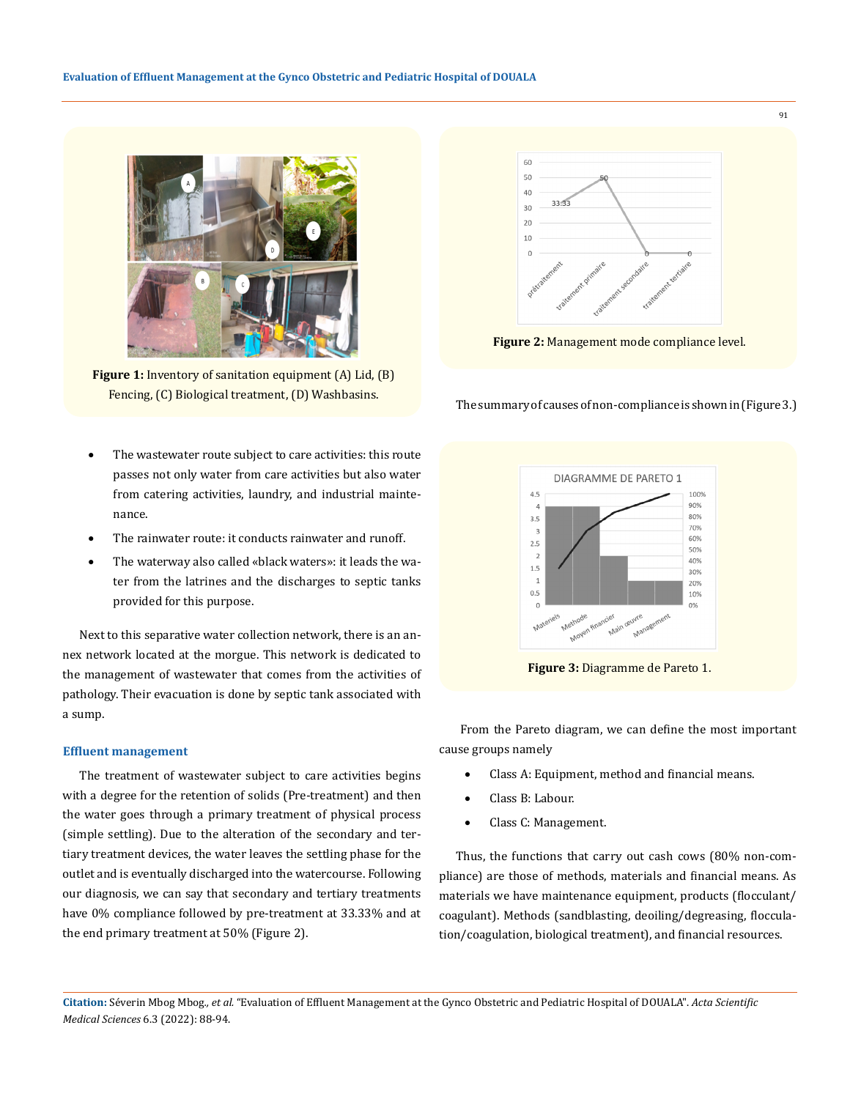

**Figure 1:** Inventory of sanitation equipment (A) Lid, (B) Fencing, (C) Biological treatment, (D) Washbasins.

- The wastewater route subject to care activities: this route passes not only water from care activities but also water from catering activities, laundry, and industrial maintenance.
- The rainwater route: it conducts rainwater and runoff.
- The waterway also called «black waters»: it leads the water from the latrines and the discharges to septic tanks provided for this purpose.

Next to this separative water collection network, there is an annex network located at the morgue. This network is dedicated to the management of wastewater that comes from the activities of pathology. Their evacuation is done by septic tank associated with a sump.

## **Effluent management**

The treatment of wastewater subject to care activities begins with a degree for the retention of solids (Pre-treatment) and then the water goes through a primary treatment of physical process (simple settling). Due to the alteration of the secondary and tertiary treatment devices, the water leaves the settling phase for the outlet and is eventually discharged into the watercourse. Following our diagnosis, we can say that secondary and tertiary treatments have 0% compliance followed by pre-treatment at 33.33% and at the end primary treatment at 50% (Figure 2).



**Figure 2:** Management mode compliance level.

The summary of causes of non-compliance is shown in(Figure 3.)



**Figure 3:** Diagramme de Pareto 1.

 From the Pareto diagram, we can define the most important cause groups namely

- Class A: Equipment, method and financial means.
- Class B: Labour.
- Class C: Management.

Thus, the functions that carry out cash cows (80% non-compliance) are those of methods, materials and financial means. As materials we have maintenance equipment, products (flocculant/ coagulant). Methods (sandblasting, deoiling/degreasing, flocculation/coagulation, biological treatment), and financial resources.

**Citation:** Séverin Mbog Mbog*., et al.* "Evaluation of Effluent Management at the Gynco Obstetric and Pediatric Hospital of DOUALA". *Acta Scientific Medical Sciences* 6.3 (2022): 88-94.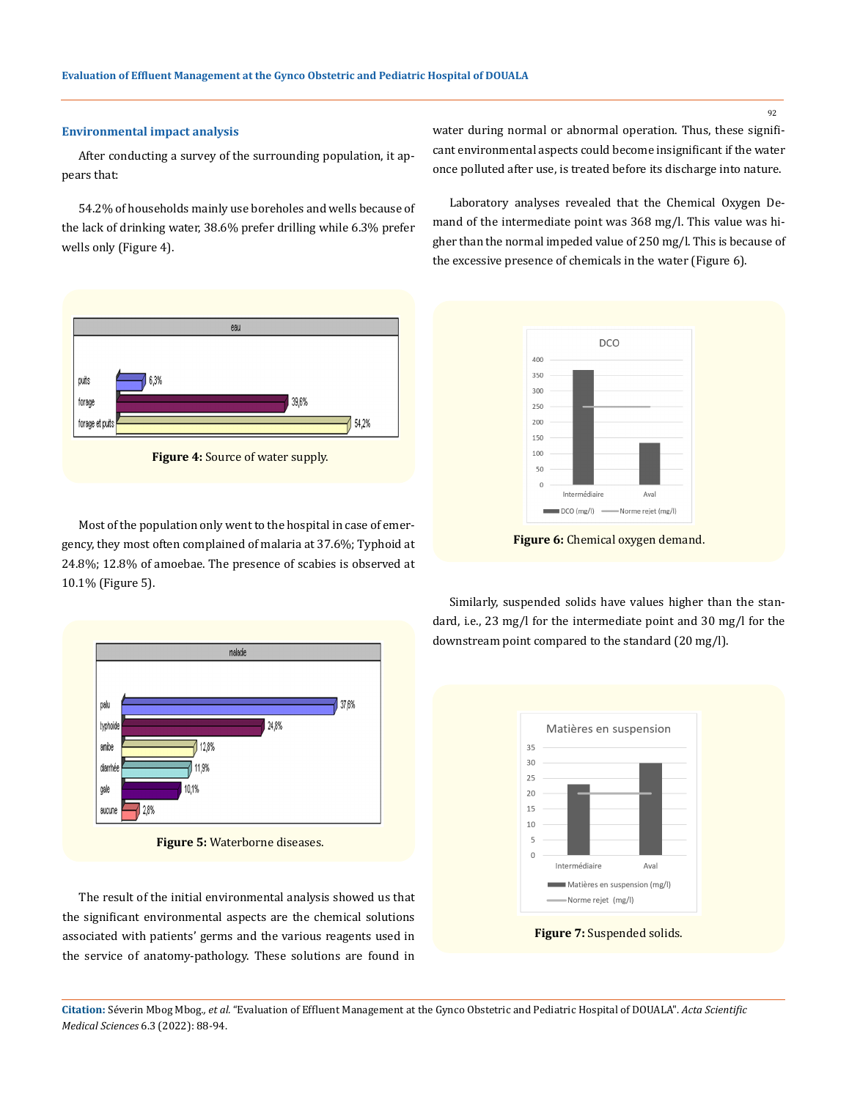## **Environmental impact analysis**

After conducting a survey of the surrounding population, it appears that:

54.2% of households mainly use boreholes and wells because of the lack of drinking water, 38.6% prefer drilling while 6.3% prefer wells only (Figure 4).



Most of the population only went to the hospital in case of emergency, they most often complained of malaria at 37.6%; Typhoid at 24.8%; 12.8% of amoebae. The presence of scabies is observed at 10.1% (Figure 5).



The result of the initial environmental analysis showed us that the significant environmental aspects are the chemical solutions associated with patients' germs and the various reagents used in the service of anatomy-pathology. These solutions are found in water during normal or abnormal operation. Thus, these significant environmental aspects could become insignificant if the water once polluted after use, is treated before its discharge into nature.

Laboratory analyses revealed that the Chemical Oxygen Demand of the intermediate point was 368 mg/l. This value was higher than the normal impeded value of 250 mg/l. This is because of the excessive presence of chemicals in the water (Figure 6).



**Figure 6:** Chemical oxygen demand.

Similarly, suspended solids have values higher than the standard, i.e., 23 mg/l for the intermediate point and 30 mg/l for the downstream point compared to the standard (20 mg/l).





**Citation:** Séverin Mbog Mbog*., et al.* "Evaluation of Effluent Management at the Gynco Obstetric and Pediatric Hospital of DOUALA". *Acta Scientific Medical Sciences* 6.3 (2022): 88-94.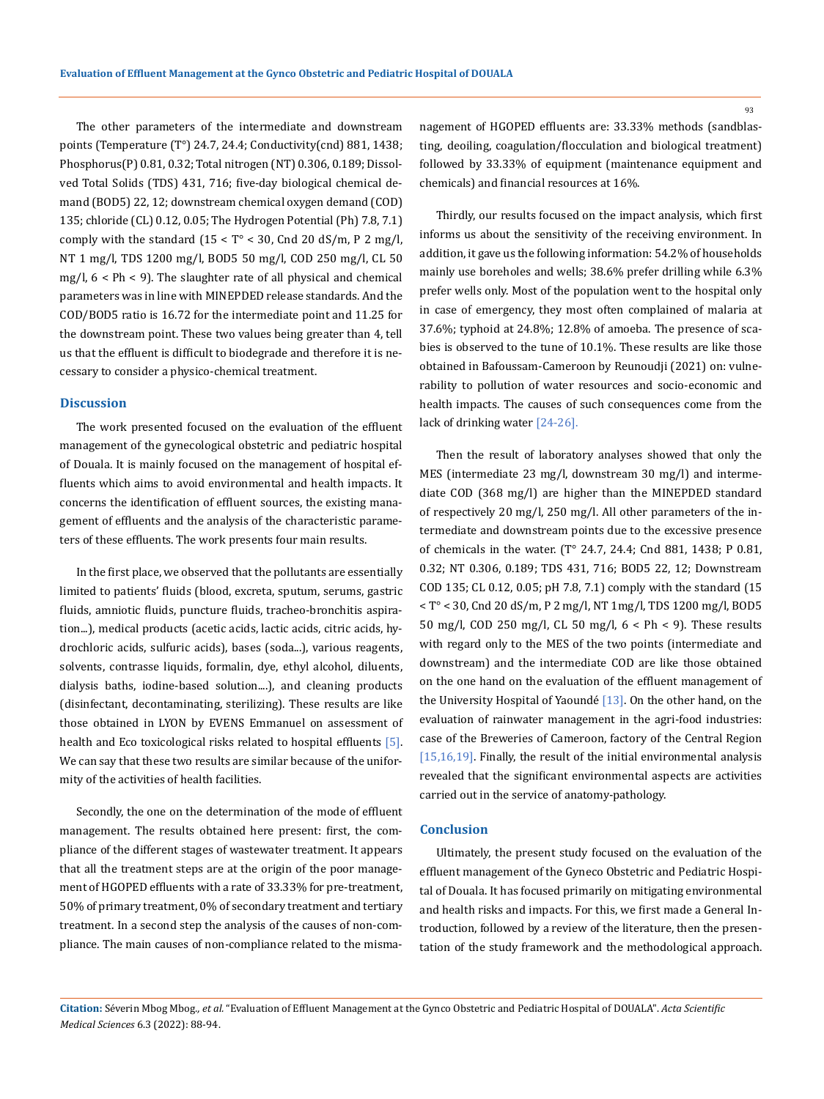The other parameters of the intermediate and downstream points (Temperature (T°) 24.7, 24.4; Conductivity(cnd) 881, 1438; Phosphorus(P) 0.81, 0.32; Total nitrogen (NT) 0.306, 0.189; Dissolved Total Solids (TDS) 431, 716; five-day biological chemical demand (BOD5) 22, 12; downstream chemical oxygen demand (COD) 135; chloride (CL) 0.12, 0.05; The Hydrogen Potential (Ph) 7.8, 7.1) comply with the standard  $(15 < T^\circ < 30$ , Cnd 20 dS/m, P 2 mg/l, NT 1 mg/l, TDS 1200 mg/l, BOD5 50 mg/l, COD 250 mg/l, CL 50 mg/l, 6 < Ph < 9). The slaughter rate of all physical and chemical parameters was in line with MINEPDED release standards. And the COD/BOD5 ratio is 16.72 for the intermediate point and 11.25 for the downstream point. These two values being greater than 4, tell us that the effluent is difficult to biodegrade and therefore it is necessary to consider a physico-chemical treatment.

## **Discussion**

The work presented focused on the evaluation of the effluent management of the gynecological obstetric and pediatric hospital of Douala. It is mainly focused on the management of hospital effluents which aims to avoid environmental and health impacts. It concerns the identification of effluent sources, the existing management of effluents and the analysis of the characteristic parameters of these effluents. The work presents four main results.

In the first place, we observed that the pollutants are essentially limited to patients' fluids (blood, excreta, sputum, serums, gastric fluids, amniotic fluids, puncture fluids, tracheo-bronchitis aspiration...), medical products (acetic acids, lactic acids, citric acids, hydrochloric acids, sulfuric acids), bases (soda...), various reagents, solvents, contrasse liquids, formalin, dye, ethyl alcohol, diluents, dialysis baths, iodine-based solution....), and cleaning products (disinfectant, decontaminating, sterilizing). These results are like those obtained in LYON by EVENS Emmanuel on assessment of health and Eco toxicological risks related to hospital effluents [5]. We can say that these two results are similar because of the uniformity of the activities of health facilities.

Secondly, the one on the determination of the mode of effluent management. The results obtained here present: first, the compliance of the different stages of wastewater treatment. It appears that all the treatment steps are at the origin of the poor management of HGOPED effluents with a rate of 33.33% for pre-treatment, 50% of primary treatment, 0% of secondary treatment and tertiary treatment. In a second step the analysis of the causes of non-compliance. The main causes of non-compliance related to the mismanagement of HGOPED effluents are: 33.33% methods (sandblasting, deoiling, coagulation/flocculation and biological treatment) followed by 33.33% of equipment (maintenance equipment and chemicals) and financial resources at 16%.

Thirdly, our results focused on the impact analysis, which first informs us about the sensitivity of the receiving environment. In addition, it gave us the following information: 54.2% of households mainly use boreholes and wells; 38.6% prefer drilling while 6.3% prefer wells only. Most of the population went to the hospital only in case of emergency, they most often complained of malaria at 37.6%; typhoid at 24.8%; 12.8% of amoeba. The presence of scabies is observed to the tune of 10.1%. These results are like those obtained in Bafoussam-Cameroon by Reunoudji (2021) on: vulnerability to pollution of water resources and socio-economic and health impacts. The causes of such consequences come from the lack of drinking water [24-26].

Then the result of laboratory analyses showed that only the MES (intermediate 23 mg/l, downstream 30 mg/l) and intermediate COD (368 mg/l) are higher than the MINEPDED standard of respectively 20 mg/l, 250 mg/l. All other parameters of the intermediate and downstream points due to the excessive presence of chemicals in the water. (T° 24.7, 24.4; Cnd 881, 1438; P 0.81, 0.32; NT 0.306, 0.189; TDS 431, 716; BOD5 22, 12; Downstream COD 135; CL 0.12, 0.05; pH 7.8, 7.1) comply with the standard (15 < T° < 30, Cnd 20 dS/m, P 2 mg/l, NT 1mg/l, TDS 1200 mg/l, BOD5 50 mg/l, COD 250 mg/l, CL 50 mg/l, 6 < Ph < 9). These results with regard only to the MES of the two points (intermediate and downstream) and the intermediate COD are like those obtained on the one hand on the evaluation of the effluent management of the University Hospital of Yaoundé [13]. On the other hand, on the evaluation of rainwater management in the agri-food industries: case of the Breweries of Cameroon, factory of the Central Region [15,16,19]. Finally, the result of the initial environmental analysis revealed that the significant environmental aspects are activities carried out in the service of anatomy-pathology.

## **Conclusion**

Ultimately, the present study focused on the evaluation of the effluent management of the Gyneco Obstetric and Pediatric Hospital of Douala. It has focused primarily on mitigating environmental and health risks and impacts. For this, we first made a General Introduction, followed by a review of the literature, then the presentation of the study framework and the methodological approach.

**Citation:** Séverin Mbog Mbog*., et al.* "Evaluation of Effluent Management at the Gynco Obstetric and Pediatric Hospital of DOUALA". *Acta Scientific Medical Sciences* 6.3 (2022): 88-94.